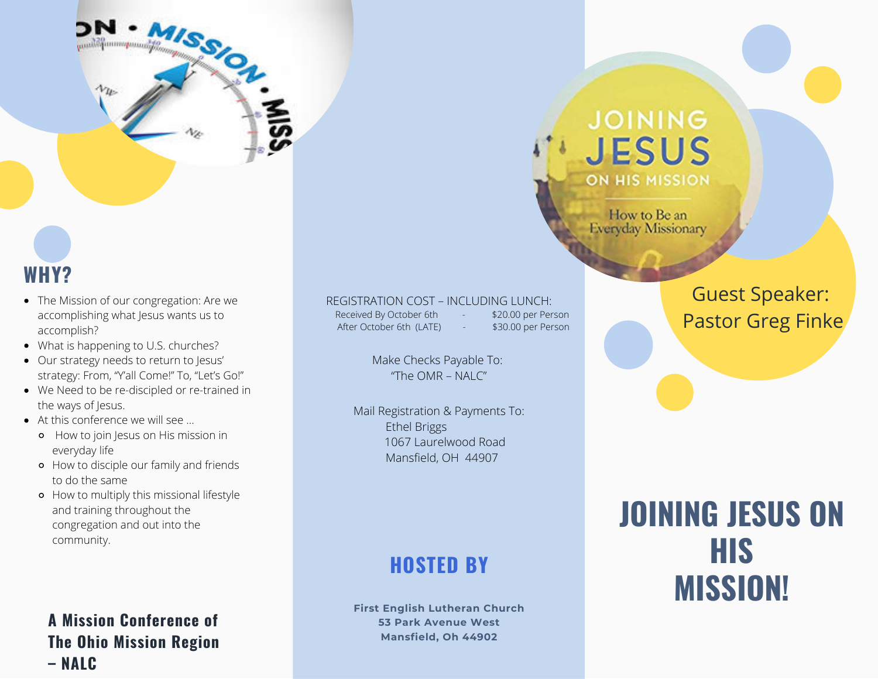

### **WHY?**

- The Mission of our congregation: Are we accomplishing what Jesus wants us to accomplish?
- What is happening to U.S. churches?
- Our strategy needs to return to Jesus' strategy: From, "Y'all Come!" To, "Let's Go!"
- We Need to be re-discipled or re-trained in the ways of Jesus.
- At this conference we will see …
	- **•** How to join Jesus on His mission in everyday life
	- How to disciple our family and friends to do the same
	- How to multiply this missional lifestyle and training throughout the congregation and out into the community.

#### **A Mission Conference of The Ohio Mission Region – NALC**

#### REGISTRATION COST – INCLUDING LUNCH:

Received By October 6th - \$20.00 per Person After October 6th (LATE) - \$30.00 per Person

Make Checks Payable To: "The OMR – NALC"

Mail Registration & Payments To: Ethel Briggs 1067 Laurelwood Road Mansfield, OH 44907

### **HOSTED BY**

**First English Lutheran Church 53 Park Avenue West Mansfield, Oh 44902**

## **JOINING JESUS ON HIS MISSION**

How to Be an **Everyday Missionary** 

### Guest Speaker: Pastor Greg Finke

# **JOINING JESUS ON HIS MISSION!**